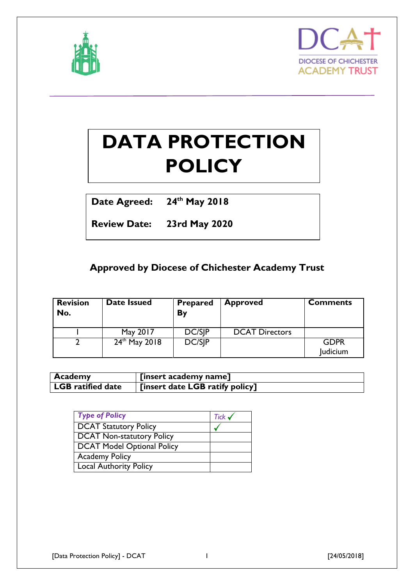



# **DATA PROTECTION POLICY**

**Date Agreed: 24th May 2018**

**Review Date: 23rd May 2020**

## **Approved by Diocese of Chichester Academy Trust**

| <b>Revision</b><br>No. | Date Issued        | <b>Prepared</b><br>By | <b>Approved</b>       | <b>Comments</b>                |
|------------------------|--------------------|-----------------------|-----------------------|--------------------------------|
|                        | May 2017           | DC/SIP                | <b>DCAT Directors</b> |                                |
|                        | $24^{th}$ May 2018 | DC/SIP                |                       | <b>GDPR</b><br><b>Judicium</b> |

| Academy                  | [insert academy name]           |
|--------------------------|---------------------------------|
| <b>LGB</b> ratified date | [insert date LGB ratify policy] |

| <b>Type of Policy</b>             | Tick $\checkmark$ |
|-----------------------------------|-------------------|
| <b>DCAT Statutory Policy</b>      |                   |
| DCAT Non-statutory Policy         |                   |
| <b>DCAT Model Optional Policy</b> |                   |
| <b>Academy Policy</b>             |                   |
| <b>Local Authority Policy</b>     |                   |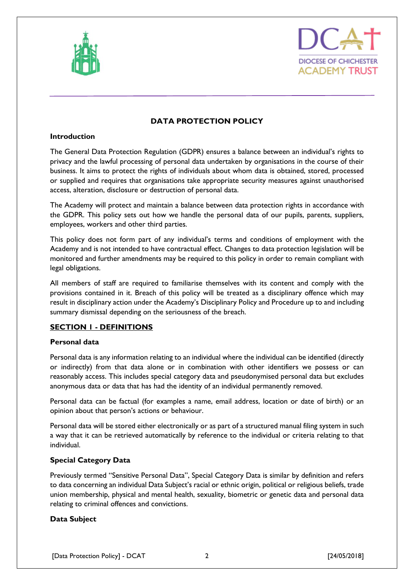



## **DATA PROTECTION POLICY**

## **Introduction**

The General Data Protection Regulation (GDPR) ensures a balance between an individual's rights to privacy and the lawful processing of personal data undertaken by organisations in the course of their business. It aims to protect the rights of individuals about whom data is obtained, stored, processed or supplied and requires that organisations take appropriate security measures against unauthorised access, alteration, disclosure or destruction of personal data.

The Academy will protect and maintain a balance between data protection rights in accordance with the GDPR. This policy sets out how we handle the personal data of our pupils, parents, suppliers, employees, workers and other third parties.

This policy does not form part of any individual's terms and conditions of employment with the Academy and is not intended to have contractual effect. Changes to data protection legislation will be monitored and further amendments may be required to this policy in order to remain compliant with legal obligations.

All members of staff are required to familiarise themselves with its content and comply with the provisions contained in it. Breach of this policy will be treated as a disciplinary offence which may result in disciplinary action under the Academy's Disciplinary Policy and Procedure up to and including summary dismissal depending on the seriousness of the breach.

## **SECTION 1 - DEFINITIONS**

#### **Personal data**

Personal data is any information relating to an individual where the individual can be identified (directly or indirectly) from that data alone or in combination with other identifiers we possess or can reasonably access. This includes special category data and pseudonymised personal data but excludes anonymous data or data that has had the identity of an individual permanently removed.

Personal data can be factual (for examples a name, email address, location or date of birth) or an opinion about that person's actions or behaviour.

Personal data will be stored either electronically or as part of a structured manual filing system in such a way that it can be retrieved automatically by reference to the individual or criteria relating to that individual.

## **Special Category Data**

Previously termed "Sensitive Personal Data", Special Category Data is similar by definition and refers to data concerning an individual Data Subject's racial or ethnic origin, political or religious beliefs, trade union membership, physical and mental health, sexuality, biometric or genetic data and personal data relating to criminal offences and convictions.

## **Data Subject**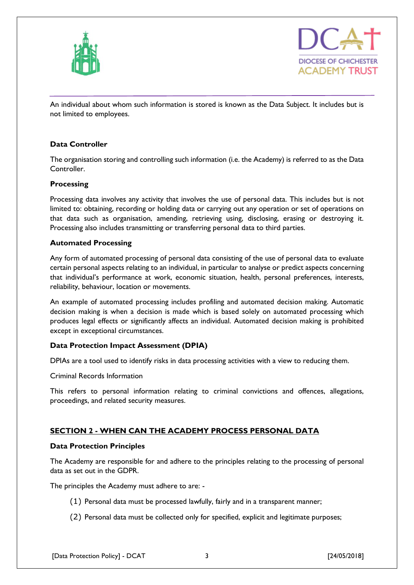



An individual about whom such information is stored is known as the Data Subject. It includes but is not limited to employees.

## **Data Controller**

The organisation storing and controlling such information (i.e. the Academy) is referred to as the Data Controller.

## **Processing**

Processing data involves any activity that involves the use of personal data. This includes but is not limited to: obtaining, recording or holding data or carrying out any operation or set of operations on that data such as organisation, amending, retrieving using, disclosing, erasing or destroying it. Processing also includes transmitting or transferring personal data to third parties.

## **Automated Processing**

Any form of automated processing of personal data consisting of the use of personal data to evaluate certain personal aspects relating to an individual, in particular to analyse or predict aspects concerning that individual's performance at work, economic situation, health, personal preferences, interests, reliability, behaviour, location or movements.

An example of automated processing includes profiling and automated decision making. Automatic decision making is when a decision is made which is based solely on automated processing which produces legal effects or significantly affects an individual. Automated decision making is prohibited except in exceptional circumstances.

## **Data Protection Impact Assessment (DPIA)**

DPIAs are a tool used to identify risks in data processing activities with a view to reducing them.

Criminal Records Information

This refers to personal information relating to criminal convictions and offences, allegations, proceedings, and related security measures.

## **SECTION 2 - WHEN CAN THE ACADEMY PROCESS PERSONAL DATA**

#### **Data Protection Principles**

The Academy are responsible for and adhere to the principles relating to the processing of personal data as set out in the GDPR.

The principles the Academy must adhere to are: -

- (1) Personal data must be processed lawfully, fairly and in a transparent manner;
- (2) Personal data must be collected only for specified, explicit and legitimate purposes;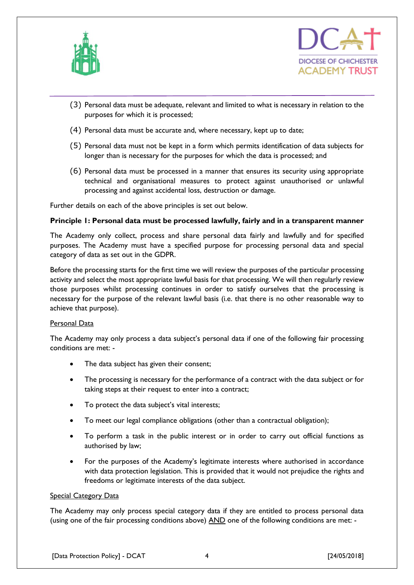



- (3) Personal data must be adequate, relevant and limited to what is necessary in relation to the purposes for which it is processed;
- (4) Personal data must be accurate and, where necessary, kept up to date;
- (5) Personal data must not be kept in a form which permits identification of data subjects for longer than is necessary for the purposes for which the data is processed; and
- (6) Personal data must be processed in a manner that ensures its security using appropriate technical and organisational measures to protect against unauthorised or unlawful processing and against accidental loss, destruction or damage.

Further details on each of the above principles is set out below.

#### **Principle 1: Personal data must be processed lawfully, fairly and in a transparent manner**

The Academy only collect, process and share personal data fairly and lawfully and for specified purposes. The Academy must have a specified purpose for processing personal data and special category of data as set out in the GDPR.

Before the processing starts for the first time we will review the purposes of the particular processing activity and select the most appropriate lawful basis for that processing. We will then regularly review those purposes whilst processing continues in order to satisfy ourselves that the processing is necessary for the purpose of the relevant lawful basis (i.e. that there is no other reasonable way to achieve that purpose).

#### Personal Data

The Academy may only process a data subject's personal data if one of the following fair processing conditions are met: -

- The data subject has given their consent;
- The processing is necessary for the performance of a contract with the data subject or for taking steps at their request to enter into a contract;
- To protect the data subject's vital interests;
- To meet our legal compliance obligations (other than a contractual obligation);
- To perform a task in the public interest or in order to carry out official functions as authorised by law;
- For the purposes of the Academy's legitimate interests where authorised in accordance with data protection legislation. This is provided that it would not prejudice the rights and freedoms or legitimate interests of the data subject.

#### **Special Category Data**

The Academy may only process special category data if they are entitled to process personal data (using one of the fair processing conditions above) AND one of the following conditions are met: -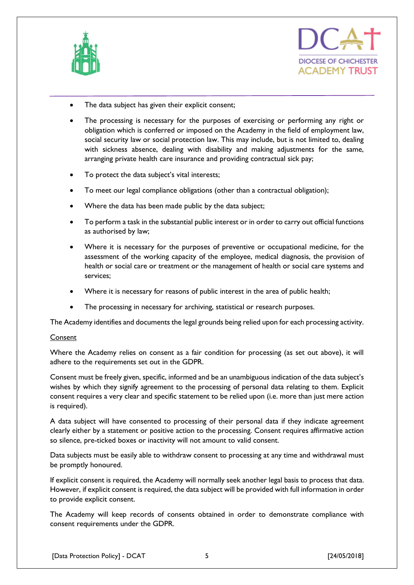



- The data subject has given their explicit consent;
- The processing is necessary for the purposes of exercising or performing any right or obligation which is conferred or imposed on the Academy in the field of employment law, social security law or social protection law. This may include, but is not limited to, dealing with sickness absence, dealing with disability and making adjustments for the same, arranging private health care insurance and providing contractual sick pay;
- To protect the data subject's vital interests;
- To meet our legal compliance obligations (other than a contractual obligation);
- Where the data has been made public by the data subject;
- To perform a task in the substantial public interest or in order to carry out official functions as authorised by law;
- Where it is necessary for the purposes of preventive or occupational medicine, for the assessment of the working capacity of the employee, medical diagnosis, the provision of health or social care or treatment or the management of health or social care systems and services;
- Where it is necessary for reasons of public interest in the area of public health;
- The processing in necessary for archiving, statistical or research purposes.

The Academy identifies and documents the legal grounds being relied upon for each processing activity.

#### Consent

Where the Academy relies on consent as a fair condition for processing (as set out above), it will adhere to the requirements set out in the GDPR.

Consent must be freely given, specific, informed and be an unambiguous indication of the data subject's wishes by which they signify agreement to the processing of personal data relating to them. Explicit consent requires a very clear and specific statement to be relied upon (i.e. more than just mere action is required).

A data subject will have consented to processing of their personal data if they indicate agreement clearly either by a statement or positive action to the processing. Consent requires affirmative action so silence, pre-ticked boxes or inactivity will not amount to valid consent.

Data subjects must be easily able to withdraw consent to processing at any time and withdrawal must be promptly honoured.

If explicit consent is required, the Academy will normally seek another legal basis to process that data. However, if explicit consent is required, the data subject will be provided with full information in order to provide explicit consent.

The Academy will keep records of consents obtained in order to demonstrate compliance with consent requirements under the GDPR.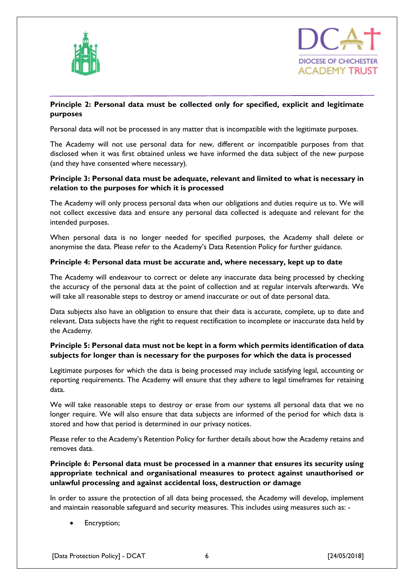



## **Principle 2: Personal data must be collected only for specified, explicit and legitimate purposes**

Personal data will not be processed in any matter that is incompatible with the legitimate purposes.

The Academy will not use personal data for new, different or incompatible purposes from that disclosed when it was first obtained unless we have informed the data subject of the new purpose (and they have consented where necessary).

## **Principle 3: Personal data must be adequate, relevant and limited to what is necessary in relation to the purposes for which it is processed**

The Academy will only process personal data when our obligations and duties require us to. We will not collect excessive data and ensure any personal data collected is adequate and relevant for the intended purposes.

When personal data is no longer needed for specified purposes, the Academy shall delete or anonymise the data. Please refer to the Academy's Data Retention Policy for further guidance.

## **Principle 4: Personal data must be accurate and, where necessary, kept up to date**

The Academy will endeavour to correct or delete any inaccurate data being processed by checking the accuracy of the personal data at the point of collection and at regular intervals afterwards. We will take all reasonable steps to destroy or amend inaccurate or out of date personal data.

Data subjects also have an obligation to ensure that their data is accurate, complete, up to date and relevant. Data subjects have the right to request rectification to incomplete or inaccurate data held by the Academy.

## **Principle 5: Personal data must not be kept in a form which permits identification of data subjects for longer than is necessary for the purposes for which the data is processed**

Legitimate purposes for which the data is being processed may include satisfying legal, accounting or reporting requirements. The Academy will ensure that they adhere to legal timeframes for retaining data.

We will take reasonable steps to destroy or erase from our systems all personal data that we no longer require. We will also ensure that data subjects are informed of the period for which data is stored and how that period is determined in our privacy notices.

Please refer to the Academy's Retention Policy for further details about how the Academy retains and removes data.

## **Principle 6: Personal data must be processed in a manner that ensures its security using appropriate technical and organisational measures to protect against unauthorised or unlawful processing and against accidental loss, destruction or damage**

In order to assure the protection of all data being processed, the Academy will develop, implement and maintain reasonable safeguard and security measures. This includes using measures such as: -

Encryption;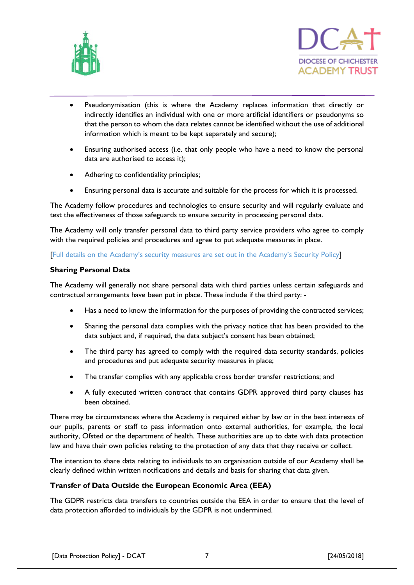



- Pseudonymisation (this is where the Academy replaces information that directly or indirectly identifies an individual with one or more artificial identifiers or pseudonyms so that the person to whom the data relates cannot be identified without the use of additional information which is meant to be kept separately and secure);
- Ensuring authorised access (i.e. that only people who have a need to know the personal data are authorised to access it);
- Adhering to confidentiality principles;
- Ensuring personal data is accurate and suitable for the process for which it is processed.

The Academy follow procedures and technologies to ensure security and will regularly evaluate and test the effectiveness of those safeguards to ensure security in processing personal data.

The Academy will only transfer personal data to third party service providers who agree to comply with the required policies and procedures and agree to put adequate measures in place.

#### [Full details on the Academy's security measures are set out in the Academy's Security Policy]

## **Sharing Personal Data**

The Academy will generally not share personal data with third parties unless certain safeguards and contractual arrangements have been put in place. These include if the third party: -

- Has a need to know the information for the purposes of providing the contracted services;
- Sharing the personal data complies with the privacy notice that has been provided to the data subject and, if required, the data subject's consent has been obtained;
- The third party has agreed to comply with the required data security standards, policies and procedures and put adequate security measures in place;
- The transfer complies with any applicable cross border transfer restrictions; and
- A fully executed written contract that contains GDPR approved third party clauses has been obtained.

There may be circumstances where the Academy is required either by law or in the best interests of our pupils, parents or staff to pass information onto external authorities, for example, the local authority, Ofsted or the department of health. These authorities are up to date with data protection law and have their own policies relating to the protection of any data that they receive or collect.

The intention to share data relating to individuals to an organisation outside of our Academy shall be clearly defined within written notifications and details and basis for sharing that data given.

## **Transfer of Data Outside the European Economic Area (EEA)**

The GDPR restricts data transfers to countries outside the EEA in order to ensure that the level of data protection afforded to individuals by the GDPR is not undermined.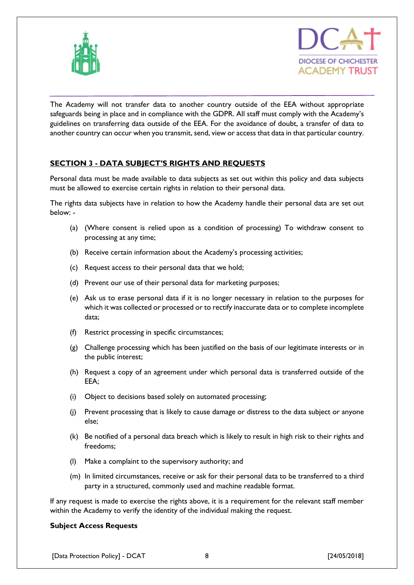



The Academy will not transfer data to another country outside of the EEA without appropriate safeguards being in place and in compliance with the GDPR. All staff must comply with the Academy's guidelines on transferring data outside of the EEA. For the avoidance of doubt, a transfer of data to another country can occur when you transmit, send, view or access that data in that particular country.

## **SECTION 3 - DATA SUBJECT'S RIGHTS AND REQUESTS**

Personal data must be made available to data subjects as set out within this policy and data subjects must be allowed to exercise certain rights in relation to their personal data.

The rights data subjects have in relation to how the Academy handle their personal data are set out below: -

- (a) (Where consent is relied upon as a condition of processing) To withdraw consent to processing at any time;
- (b) Receive certain information about the Academy's processing activities;
- (c) Request access to their personal data that we hold;
- (d) Prevent our use of their personal data for marketing purposes;
- (e) Ask us to erase personal data if it is no longer necessary in relation to the purposes for which it was collected or processed or to rectify inaccurate data or to complete incomplete data;
- (f) Restrict processing in specific circumstances;
- (g) Challenge processing which has been justified on the basis of our legitimate interests or in the public interest;
- (h) Request a copy of an agreement under which personal data is transferred outside of the EEA;
- (i) Object to decisions based solely on automated processing;
- (j) Prevent processing that is likely to cause damage or distress to the data subject or anyone else;
- (k) Be notified of a personal data breach which is likely to result in high risk to their rights and freedoms;
- (l) Make a complaint to the supervisory authority; and
- (m) In limited circumstances, receive or ask for their personal data to be transferred to a third party in a structured, commonly used and machine readable format.

If any request is made to exercise the rights above, it is a requirement for the relevant staff member within the Academy to verify the identity of the individual making the request.

## **Subject Access Requests**

[Data Protection Policy] - DCAT 8 [24/05/2018]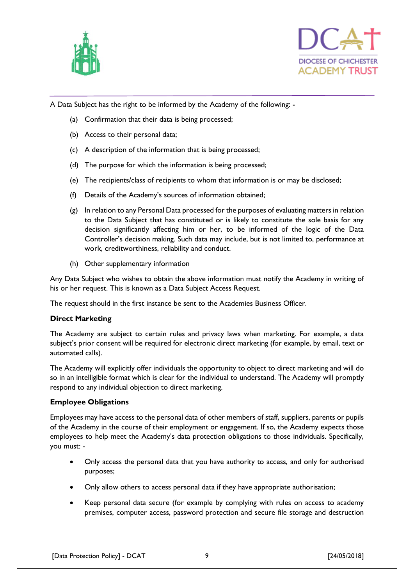



A Data Subject has the right to be informed by the Academy of the following: -

- (a) Confirmation that their data is being processed;
- (b) Access to their personal data;
- (c) A description of the information that is being processed;
- (d) The purpose for which the information is being processed;
- (e) The recipients/class of recipients to whom that information is or may be disclosed;
- (f) Details of the Academy's sources of information obtained;
- (g) In relation to any Personal Data processed for the purposes of evaluating matters in relation to the Data Subject that has constituted or is likely to constitute the sole basis for any decision significantly affecting him or her, to be informed of the logic of the Data Controller's decision making. Such data may include, but is not limited to, performance at work, creditworthiness, reliability and conduct.
- (h) Other supplementary information

Any Data Subject who wishes to obtain the above information must notify the Academy in writing of his or her request. This is known as a Data Subject Access Request.

The request should in the first instance be sent to the Academies Business Officer.

#### **Direct Marketing**

The Academy are subject to certain rules and privacy laws when marketing. For example, a data subject's prior consent will be required for electronic direct marketing (for example, by email, text or automated calls).

The Academy will explicitly offer individuals the opportunity to object to direct marketing and will do so in an intelligible format which is clear for the individual to understand. The Academy will promptly respond to any individual objection to direct marketing.

#### **Employee Obligations**

Employees may have access to the personal data of other members of staff, suppliers, parents or pupils of the Academy in the course of their employment or engagement. If so, the Academy expects those employees to help meet the Academy's data protection obligations to those individuals. Specifically, you must: -

- Only access the personal data that you have authority to access, and only for authorised purposes;
- Only allow others to access personal data if they have appropriate authorisation;
- Keep personal data secure (for example by complying with rules on access to academy premises, computer access, password protection and secure file storage and destruction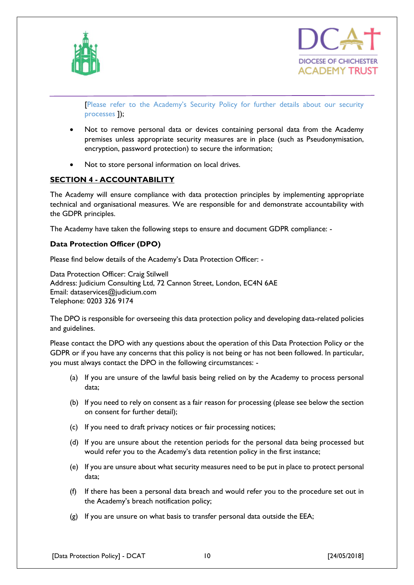



[Please refer to the Academy's Security Policy for further details about our security processes ]);

- Not to remove personal data or devices containing personal data from the Academy premises unless appropriate security measures are in place (such as Pseudonymisation, encryption, password protection) to secure the information;
- Not to store personal information on local drives.

## **SECTION 4 - ACCOUNTABILITY**

The Academy will ensure compliance with data protection principles by implementing appropriate technical and organisational measures. We are responsible for and demonstrate accountability with the GDPR principles.

The Academy have taken the following steps to ensure and document GDPR compliance: -

## **Data Protection Officer (DPO)**

Please find below details of the Academy's Data Protection Officer: -

Data Protection Officer: Craig Stilwell Address: Judicium Consulting Ltd, 72 Cannon Street, London, EC4N 6AE Email: [dataservices@judicium.com](mailto:dataservices@judicium.com) Telephone: 0203 326 9174

The DPO is responsible for overseeing this data protection policy and developing data-related policies and guidelines.

Please contact the DPO with any questions about the operation of this Data Protection Policy or the GDPR or if you have any concerns that this policy is not being or has not been followed. In particular, you must always contact the DPO in the following circumstances: -

- (a) If you are unsure of the lawful basis being relied on by the Academy to process personal data;
- (b) If you need to rely on consent as a fair reason for processing (please see below the section on consent for further detail);
- (c) If you need to draft privacy notices or fair processing notices;
- (d) If you are unsure about the retention periods for the personal data being processed but would refer you to the Academy's data retention policy in the first instance;
- (e) If you are unsure about what security measures need to be put in place to protect personal data;
- (f) If there has been a personal data breach and would refer you to the procedure set out in the Academy's breach notification policy;
- $(g)$  If you are unsure on what basis to transfer personal data outside the EEA;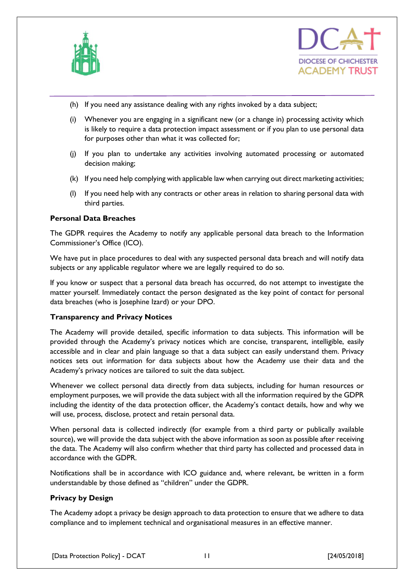



- (h) If you need any assistance dealing with any rights invoked by a data subject;
- (i) Whenever you are engaging in a significant new (or a change in) processing activity which is likely to require a data protection impact assessment or if you plan to use personal data for purposes other than what it was collected for;
- (j) If you plan to undertake any activities involving automated processing or automated decision making;
- (k) If you need help complying with applicable law when carrying out direct marketing activities;
- (l) If you need help with any contracts or other areas in relation to sharing personal data with third parties.

## **Personal Data Breaches**

The GDPR requires the Academy to notify any applicable personal data breach to the Information Commissioner's Office (ICO).

We have put in place procedures to deal with any suspected personal data breach and will notify data subjects or any applicable regulator where we are legally required to do so.

If you know or suspect that a personal data breach has occurred, do not attempt to investigate the matter yourself. Immediately contact the person designated as the key point of contact for personal data breaches (who is Josephine Izard) or your DPO.

#### **Transparency and Privacy Notices**

The Academy will provide detailed, specific information to data subjects. This information will be provided through the Academy's privacy notices which are concise, transparent, intelligible, easily accessible and in clear and plain language so that a data subject can easily understand them. Privacy notices sets out information for data subjects about how the Academy use their data and the Academy's privacy notices are tailored to suit the data subject.

Whenever we collect personal data directly from data subjects, including for human resources or employment purposes, we will provide the data subject with all the information required by the GDPR including the identity of the data protection officer, the Academy's contact details, how and why we will use, process, disclose, protect and retain personal data.

When personal data is collected indirectly (for example from a third party or publically available source), we will provide the data subject with the above information as soon as possible after receiving the data. The Academy will also confirm whether that third party has collected and processed data in accordance with the GDPR.

Notifications shall be in accordance with ICO guidance and, where relevant, be written in a form understandable by those defined as "children" under the GDPR.

#### **Privacy by Design**

The Academy adopt a privacy be design approach to data protection to ensure that we adhere to data compliance and to implement technical and organisational measures in an effective manner.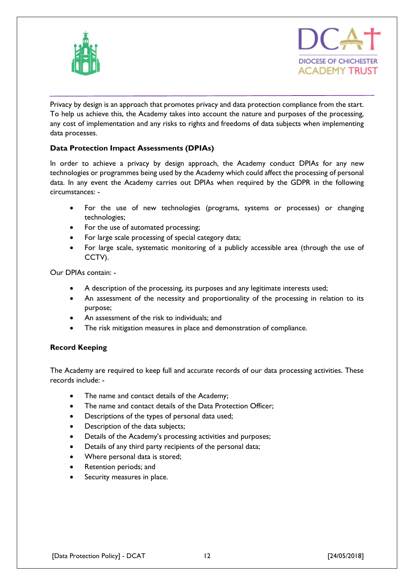



Privacy by design is an approach that promotes privacy and data protection compliance from the start. To help us achieve this, the Academy takes into account the nature and purposes of the processing, any cost of implementation and any risks to rights and freedoms of data subjects when implementing data processes.

## **Data Protection Impact Assessments (DPIAs)**

In order to achieve a privacy by design approach, the Academy conduct DPIAs for any new technologies or programmes being used by the Academy which could affect the processing of personal data. In any event the Academy carries out DPIAs when required by the GDPR in the following circumstances: -

- For the use of new technologies (programs, systems or processes) or changing technologies;
- For the use of automated processing;
- For large scale processing of special category data;
- For large scale, systematic monitoring of a publicly accessible area (through the use of CCTV).

Our DPIAs contain: -

- A description of the processing, its purposes and any legitimate interests used;
- An assessment of the necessity and proportionality of the processing in relation to its purpose;
- An assessment of the risk to individuals; and
- The risk mitigation measures in place and demonstration of compliance.

## **Record Keeping**

The Academy are required to keep full and accurate records of our data processing activities. These records include: -

- The name and contact details of the Academy;
- The name and contact details of the Data Protection Officer;
- Descriptions of the types of personal data used;
- Description of the data subjects;
- Details of the Academy's processing activities and purposes;
- Details of any third party recipients of the personal data;
- Where personal data is stored;
- Retention periods; and
- Security measures in place.